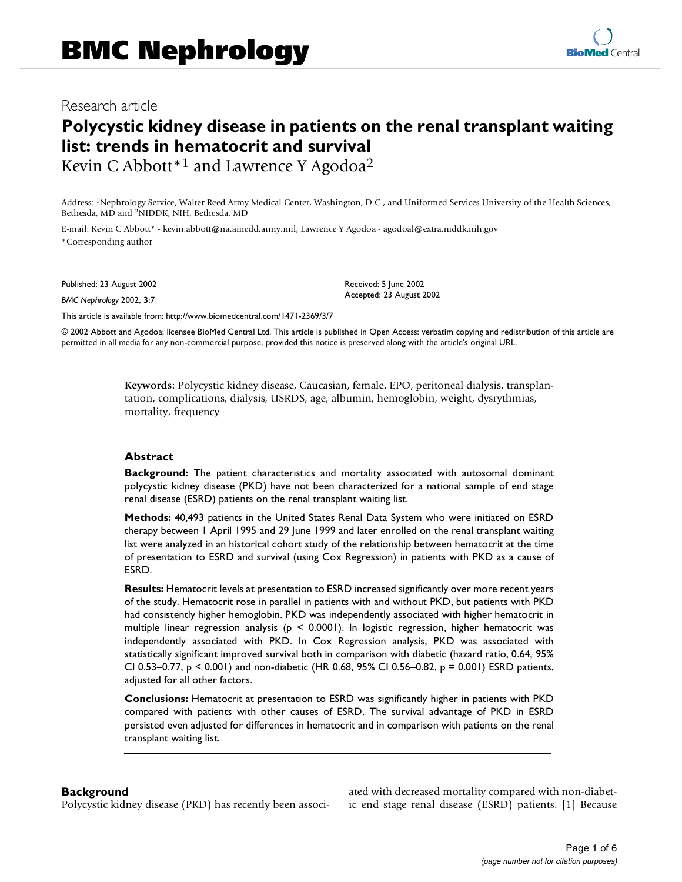# **Polycystic kidney disease in patients on the renal transplant waiting list: trends in hematocrit and survival**

Kevin C Abbott<sup>\*1</sup> and Lawrence Y Agodoa<sup>2</sup>

Address: 1Nephrology Service, Walter Reed Army Medical Center, Washington, D.C., and Uniformed Services University of the Health Sciences, Bethesda, MD and 2NIDDK, NIH, Bethesda, MD

E-mail: Kevin C Abbott\* - kevin.abbott@na.amedd.army.mil; Lawrence Y Agodoa - agodoal@extra.niddk.nih.gov \*Corresponding author

Published: 23 August 2002

*BMC Nephrology* 2002, **3**:7

Received: 5 June 2002 Accepted: 23 August 2002

[This article is available from: http://www.biomedcentral.com/1471-2369/3/7](http://www.biomedcentral.com/1471-2369/3/7)

© 2002 Abbott and Agodoa; licensee BioMed Central Ltd. This article is published in Open Access: verbatim copying and redistribution of this article are permitted in all media for any non-commercial purpose, provided this notice is preserved along with the article's original URL.

> **Keywords:** Polycystic kidney disease, Caucasian, female, EPO, peritoneal dialysis, transplantation, complications, dialysis, USRDS, age, albumin, hemoglobin, weight, dysrythmias, mortality, frequency

#### **Abstract**

**Background:** The patient characteristics and mortality associated with autosomal dominant polycystic kidney disease (PKD) have not been characterized for a national sample of end stage renal disease (ESRD) patients on the renal transplant waiting list.

**Methods:** 40,493 patients in the United States Renal Data System who were initiated on ESRD therapy between 1 April 1995 and 29 June 1999 and later enrolled on the renal transplant waiting list were analyzed in an historical cohort study of the relationship between hematocrit at the time of presentation to ESRD and survival (using Cox Regression) in patients with PKD as a cause of ESRD.

**Results:** Hematocrit levels at presentation to ESRD increased significantly over more recent years of the study. Hematocrit rose in parallel in patients with and without PKD, but patients with PKD had consistently higher hemoglobin. PKD was independently associated with higher hematocrit in multiple linear regression analysis (p < 0.0001). In logistic regression, higher hematocrit was independently associated with PKD. In Cox Regression analysis, PKD was associated with statistically significant improved survival both in comparison with diabetic (hazard ratio, 0.64, 95% CI 0.53–0.77,  $p < 0.001$ ) and non-diabetic (HR 0.68, 95% CI 0.56–0.82,  $p = 0.001$ ) ESRD patients, adjusted for all other factors.

**Conclusions:** Hematocrit at presentation to ESRD was significantly higher in patients with PKD compared with patients with other causes of ESRD. The survival advantage of PKD in ESRD persisted even adjusted for differences in hematocrit and in comparison with patients on the renal transplant waiting list.

#### **Background**

Polycystic kidney disease (PKD) has recently been associ-

ated with decreased mortality compared with non-diabetic end stage renal disease (ESRD) patients. [1] Because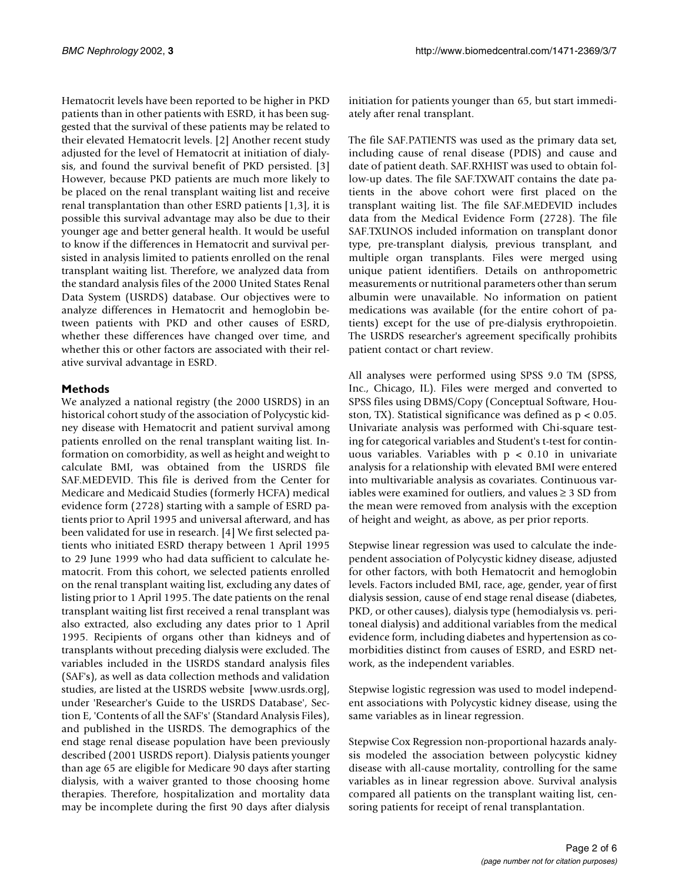Hematocrit levels have been reported to be higher in PKD patients than in other patients with ESRD, it has been suggested that the survival of these patients may be related to their elevated Hematocrit levels. [2] Another recent study adjusted for the level of Hematocrit at initiation of dialysis, and found the survival benefit of PKD persisted. [3] However, because PKD patients are much more likely to be placed on the renal transplant waiting list and receive renal transplantation than other ESRD patients [1,3], it is possible this survival advantage may also be due to their younger age and better general health. It would be useful to know if the differences in Hematocrit and survival persisted in analysis limited to patients enrolled on the renal transplant waiting list. Therefore, we analyzed data from the standard analysis files of the 2000 United States Renal Data System (USRDS) database. Our objectives were to analyze differences in Hematocrit and hemoglobin between patients with PKD and other causes of ESRD, whether these differences have changed over time, and whether this or other factors are associated with their relative survival advantage in ESRD.

#### **Methods**

We analyzed a national registry (the 2000 USRDS) in an historical cohort study of the association of Polycystic kidney disease with Hematocrit and patient survival among patients enrolled on the renal transplant waiting list. Information on comorbidity, as well as height and weight to calculate BMI, was obtained from the USRDS file SAF.MEDEVID. This file is derived from the Center for Medicare and Medicaid Studies (formerly HCFA) medical evidence form (2728) starting with a sample of ESRD patients prior to April 1995 and universal afterward, and has been validated for use in research. [4] We first selected patients who initiated ESRD therapy between 1 April 1995 to 29 June 1999 who had data sufficient to calculate hematocrit. From this cohort, we selected patients enrolled on the renal transplant waiting list, excluding any dates of [listing prior to 1 April 1995. The date patients on the renal](www.usrds.org) transplant waiting list first received a renal transplant was also extracted, also excluding any dates prior to 1 April 1995. Recipients of organs other than kidneys and of transplants without preceding dialysis were excluded. The variables included in the USRDS standard analysis files (SAF's), as well as data collection methods and validation studies, are listed at the USRDS website [www.usrds.org], under 'Researcher's Guide to the USRDS Database', Section E, 'Contents of all the SAF's' (Standard Analysis Files), and published in the USRDS. The demographics of the end stage renal disease population have been previously described (2001 USRDS report). Dialysis patients younger than age 65 are eligible for Medicare 90 days after starting dialysis, with a waiver granted to those choosing home therapies. Therefore, hospitalization and mortality data may be incomplete during the first 90 days after dialysis

[initiation for patients younger than 65, but start immedi](www.usrds.org)ately after renal transplant.

The file SAF.PATIENTS was used as the primary data set, including cause of renal disease (PDIS) and cause and date of patient death. SAF.RXHIST was used to obtain follow-up dates. The file SAF.TXWAIT contains the date patients in the above cohort were first placed on the transplant waiting list. The file SAF.MEDEVID includes data from the Medical Evidence Form (2728). The file SAF.TXUNOS included information on transplant donor type, pre-transplant dialysis, previous transplant, and multiple organ transplants. Files were merged using unique patient identifiers. Details on anthropometric measurements or nutritional parameters other than serum albumin were unavailable. No information on patient medications was available (for the entire cohort of patients) except for the use of pre-dialysis erythropoietin. The USRDS researcher's agreement specifically prohibits patient contact or chart review.

All analyses were performed using SPSS 9.0 TM (SPSS, Inc., Chicago, IL). Files were merged and converted to SPSS files using DBMS/Copy (Conceptual Software, Houston, TX). Statistical significance was defined as p < 0.05. Univariate analysis was performed with Chi-square testing for categorical variables and Student's t-test for continuous variables. Variables with p < 0.10 in univariate analysis for a relationship with elevated BMI were entered into multivariable analysis as covariates. Continuous variables were examined for outliers, and values ≥ 3 SD from the mean were removed from analysis with the exception of height and weight, as above, as per prior reports.

Stepwise linear regression was used to calculate the independent association of Polycystic kidney disease, adjusted for other factors, with both Hematocrit and hemoglobin levels. Factors included BMI, race, age, gender, year of first dialysis session, cause of end stage renal disease (diabetes, PKD, or other causes), dialysis type (hemodialysis vs. peritoneal dialysis) and additional variables from the medical evidence form, including diabetes and hypertension as comorbidities distinct from causes of ESRD, and ESRD network, as the independent variables.

Stepwise logistic regression was used to model independent associations with Polycystic kidney disease, using the same variables as in linear regression.

Stepwise Cox Regression non-proportional hazards analysis modeled the association between polycystic kidney disease with all-cause mortality, controlling for the same variables as in linear regression above. Survival analysis compared all patients on the transplant waiting list, censoring patients for receipt of renal transplantation.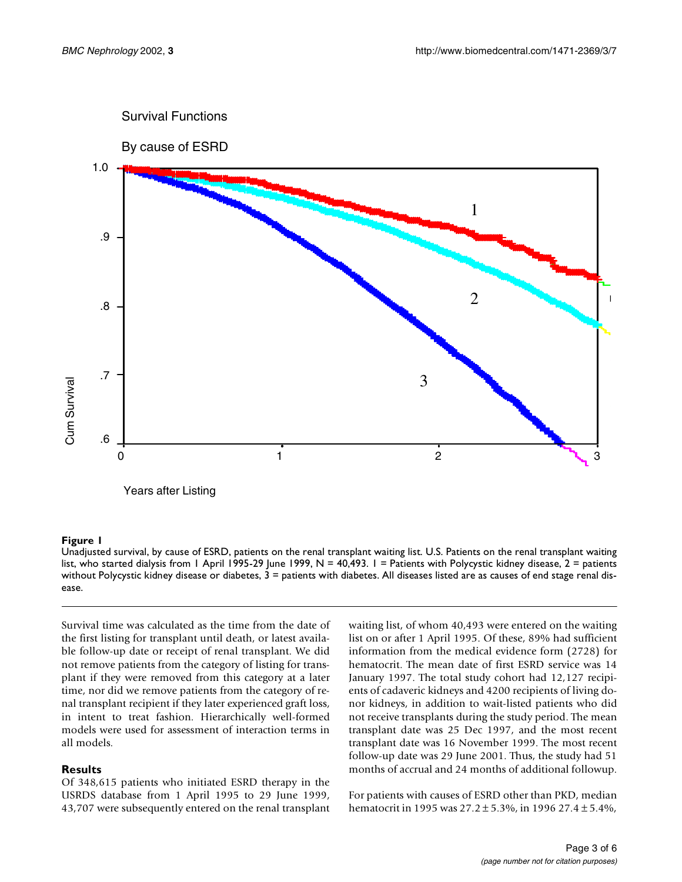

#### **Figure 1**

Unadjusted survival, by cause of ESRD, patients on the renal transplant waiting list. U.S. Patients on the renal transplant waiting list, who started dialysis from 1 April 1995-29 June 1999,  $N = 40,493$ . I = Patients with Polycystic kidney disease,  $2 =$  patients without Polycystic kidney disease or diabetes, 3 = patients with diabetes. All diseases listed are as causes of end stage renal disease.

Survival time was calculated as the time from the date of the first listing for transplant until death, or latest available follow-up date or receipt of renal transplant. We did not remove patients from the category of listing for transplant if they were removed from this category at a later time, nor did we remove patients from the category of renal transplant recipient if they later experienced graft loss, in intent to treat fashion. Hierarchically well-formed models were used for assessment of interaction terms in all models.

#### **Results**

Of 348,615 patients who initiated ESRD therapy in the USRDS database from 1 April 1995 to 29 June 1999, 43,707 were subsequently entered on the renal transplant waiting list, of whom 40,493 were entered on the waiting list on or after 1 April 1995. Of these, 89% had sufficient information from the medical evidence form (2728) for hematocrit. The mean date of first ESRD service was 14 January 1997. The total study cohort had 12,127 recipients of cadaveric kidneys and 4200 recipients of living donor kidneys, in addition to wait-listed patients who did not receive transplants during the study period. The mean transplant date was 25 Dec 1997, and the most recent transplant date was 16 November 1999. The most recent follow-up date was 29 June 2001. Thus, the study had 51 months of accrual and 24 months of additional followup.

For patients with causes of ESRD other than PKD, median hematocrit in 1995 was 27.2 ± 5.3%, in 1996 27.4 ± 5.4%,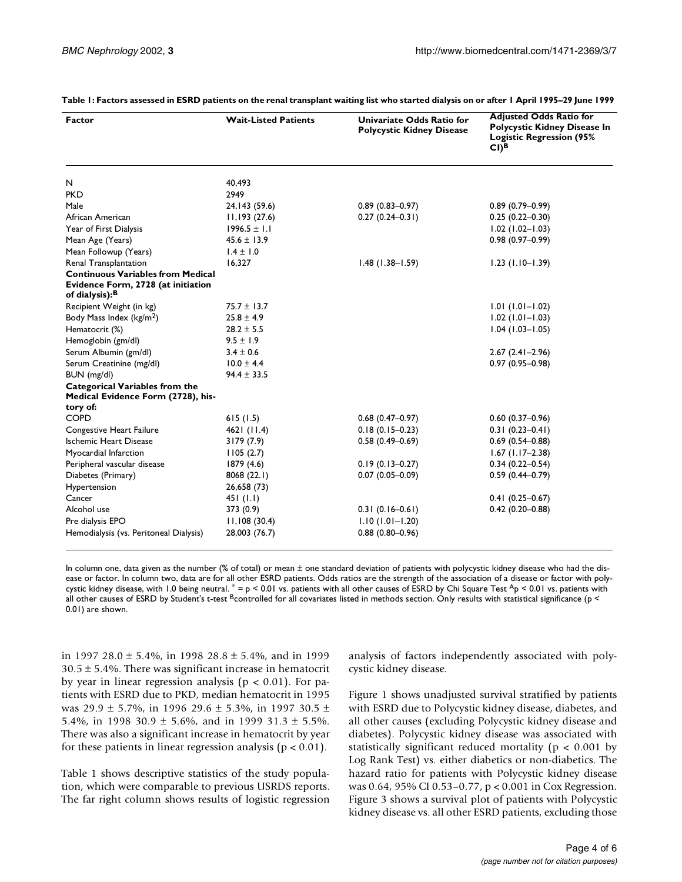| <b>Factor</b>                                                                                                | <b>Wait-Listed Patients</b> | Univariate Odds Ratio for<br><b>Polycystic Kidney Disease</b> | <b>Adjusted Odds Ratio for</b><br>Polycystic Kidney Disease In<br><b>Logistic Regression (95%</b><br>$CI$ <sup>B</sup> |
|--------------------------------------------------------------------------------------------------------------|-----------------------------|---------------------------------------------------------------|------------------------------------------------------------------------------------------------------------------------|
| N                                                                                                            | 40,493                      |                                                               |                                                                                                                        |
| <b>PKD</b>                                                                                                   | 2949                        |                                                               |                                                                                                                        |
| Male                                                                                                         | 24, 143 (59.6)              | $0.89(0.83 - 0.97)$                                           | $0.89(0.79 - 0.99)$                                                                                                    |
| African American                                                                                             | 11,193(27.6)                | $0.27(0.24 - 0.31)$                                           | $0.25(0.22 - 0.30)$                                                                                                    |
| Year of First Dialysis                                                                                       | $1996.5 \pm 1.1$            |                                                               | $1.02$ (1.02-1.03)                                                                                                     |
| Mean Age (Years)                                                                                             | $45.6 \pm 13.9$             |                                                               | $0.98(0.97 - 0.99)$                                                                                                    |
| Mean Followup (Years)                                                                                        | $1.4 \pm 1.0$               |                                                               |                                                                                                                        |
| Renal Transplantation                                                                                        | 16.327                      | $1.48(1.38 - 1.59)$                                           | $1.23$ (1.10-1.39)                                                                                                     |
| <b>Continuous Variables from Medical</b><br>Evidence Form, 2728 (at initiation<br>of dialysis): <sup>B</sup> |                             |                                                               |                                                                                                                        |
| Recipient Weight (in kg)                                                                                     | $75.7 \pm 13.7$             |                                                               | $1.01(1.01 - 1.02)$                                                                                                    |
| Body Mass Index (kg/m <sup>2</sup> )                                                                         | $25.8 \pm 4.9$              |                                                               | $1.02$ (1.01-1.03)                                                                                                     |
| Hematocrit (%)                                                                                               | $28.2 \pm 5.5$              |                                                               | $1.04(1.03 - 1.05)$                                                                                                    |
| Hemoglobin (gm/dl)                                                                                           | $9.5 \pm 1.9$               |                                                               |                                                                                                                        |
| Serum Albumin (gm/dl)                                                                                        | $3.4 \pm 0.6$               |                                                               | $2.67(2.41 - 2.96)$                                                                                                    |
| Serum Creatinine (mg/dl)                                                                                     | $10.0 \pm 4.4$              |                                                               | $0.97(0.95 - 0.98)$                                                                                                    |
| BUN (mg/dl)                                                                                                  | $94.4 \pm 33.5$             |                                                               |                                                                                                                        |
| <b>Categorical Variables from the</b><br>Medical Evidence Form (2728), his-<br>tory of:                      |                             |                                                               |                                                                                                                        |
| <b>COPD</b>                                                                                                  | 615(1.5)                    | $0.68(0.47-0.97)$                                             | $0.60(0.37-0.96)$                                                                                                      |
| Congestive Heart Failure                                                                                     | 4621(11.4)                  | $0.18(0.15 - 0.23)$                                           | $0.31(0.23 - 0.41)$                                                                                                    |
| <b>Ischemic Heart Disease</b>                                                                                | 3179(7.9)                   | $0.58(0.49 - 0.69)$                                           | $0.69(0.54 - 0.88)$                                                                                                    |
| Myocardial Infarction                                                                                        | 1105(2.7)                   |                                                               | $1.67$ (1.17-2.38)                                                                                                     |
| Peripheral vascular disease                                                                                  | 1879 (4.6)                  | $0.19(0.13 - 0.27)$                                           | $0.34(0.22 - 0.54)$                                                                                                    |
| Diabetes (Primary)                                                                                           | 8068(22.1)                  | $0.07(0.05 - 0.09)$                                           | $0.59(0.44 - 0.79)$                                                                                                    |
| Hypertension                                                                                                 | 26,658 (73)                 |                                                               |                                                                                                                        |
| Cancer                                                                                                       | 451(1.1)                    |                                                               | $0.41(0.25 - 0.67)$                                                                                                    |
| Alcohol use                                                                                                  | 373 (0.9)                   | $0.31(0.16-0.61)$                                             | $0.42(0.20 - 0.88)$                                                                                                    |
| Pre dialysis EPO                                                                                             | 11,108(30.4)                | $1.10(1.01 - 1.20)$                                           |                                                                                                                        |
| Hemodialysis (vs. Peritoneal Dialysis)                                                                       | 28,003 (76.7)               | $0.88(0.80 - 0.96)$                                           |                                                                                                                        |

**Table 1: Factors assessed in ESRD patients on the renal transplant waiting list who started dialysis on or after 1 April 1995–29 June 1999**

In column one, data given as the number (% of total) or mean  $\pm$  one standard deviation of patients with polycystic kidney disease who had the disease or factor. In column two, data are for all other ESRD patients. Odds ratios are the strength of the association of a disease or factor with polycystic kidney disease, with 1.0 being neutral.  $* = p < 0.01$  vs. patients with all other causes of ESRD by Chi Square Test  $A_p < 0.01$  vs. patients with all other causes of ESRD by Student's t-test Bcontrolled for all covariates listed in methods section. Only results with statistical significance ( $p <$ 0.01) are shown.

in 1997 28.0 ± 5.4%, in 1998 28.8 ± 5.4%, and in 1999  $30.5 \pm 5.4$ %. There was significant increase in hematocrit by year in linear regression analysis ( $p < 0.01$ ). For patients with ESRD due to PKD, median hematocrit in 1995 was  $29.9 \pm 5.7\%$ , in 1996 29.6  $\pm 5.3\%$ , in 1997 30.5  $\pm$ 5.4%, in 1998 30.9  $\pm$  5.6%, and in 1999 31.3  $\pm$  5.5%. There was also a significant increase in hematocrit by year for these patients in linear regression analysis ( $p < 0.01$ ).

Table 1 shows descriptive statistics of the study population, which were comparable to previous USRDS reports. The far right column shows results of logistic regression

analysis of factors independently associated with polycystic kidney disease.

Figure 1 shows unadjusted survival stratified by patients with ESRD due to Polycystic kidney disease, diabetes, and all other causes (excluding Polycystic kidney disease and diabetes). Polycystic kidney disease was associated with statistically significant reduced mortality ( $p < 0.001$  by Log Rank Test) vs. either diabetics or non-diabetics. The hazard ratio for patients with Polycystic kidney disease was 0.64, 95% CI 0.53–0.77, p < 0.001 in Cox Regression. Figure 3 shows a survival plot of patients with Polycystic kidney disease vs. all other ESRD patients, excluding those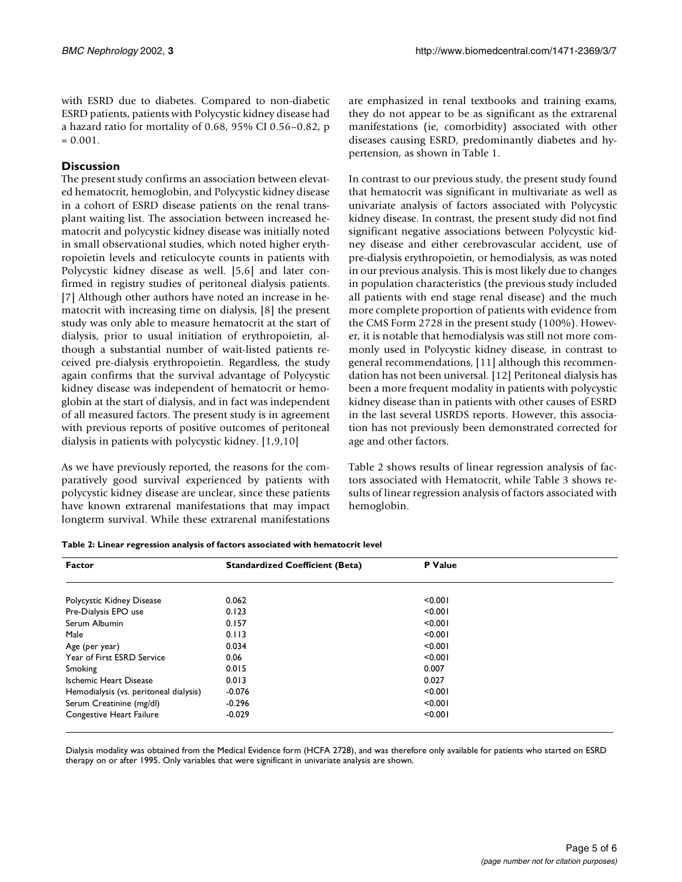with ESRD due to diabetes. Compared to non-diabetic ESRD patients, patients with Polycystic kidney disease had a hazard ratio for mortality of 0.68, 95% CI 0.56–0.82, p  $= 0.001.$ 

## **Discussion**

The present study confirms an association between elevated hematocrit, hemoglobin, and Polycystic kidney disease in a cohort of ESRD disease patients on the renal transplant waiting list. The association between increased hematocrit and polycystic kidney disease was initially noted in small observational studies, which noted higher erythropoietin levels and reticulocyte counts in patients with Polycystic kidney disease as well. [5,6] and later confirmed in registry studies of peritoneal dialysis patients. [7] Although other authors have noted an increase in hematocrit with increasing time on dialysis, [8] the present study was only able to measure hematocrit at the start of dialysis, prior to usual initiation of erythropoietin, although a substantial number of wait-listed patients received pre-dialysis erythropoietin. Regardless, the study again confirms that the survival advantage of Polycystic kidney disease was independent of hematocrit or hemoglobin at the start of dialysis, and in fact was independent of all measured factors. The present study is in agreement with previous reports of positive outcomes of peritoneal dialysis in patients with polycystic kidney. [1,9,10]

As we have previously reported, the reasons for the comparatively good survival experienced by patients with polycystic kidney disease are unclear, since these patients have known extrarenal manifestations that may impact longterm survival. While these extrarenal manifestations are emphasized in renal textbooks and training exams, they do not appear to be as significant as the extrarenal manifestations (ie, comorbidity) associated with other diseases causing ESRD, predominantly diabetes and hypertension, as shown in Table 1.

In contrast to our previous study, the present study found that hematocrit was significant in multivariate as well as univariate analysis of factors associated with Polycystic kidney disease. In contrast, the present study did not find significant negative associations between Polycystic kidney disease and either cerebrovascular accident, use of pre-dialysis erythropoietin, or hemodialysis, as was noted in our previous analysis. This is most likely due to changes in population characteristics (the previous study included all patients with end stage renal disease) and the much more complete proportion of patients with evidence from the CMS Form 2728 in the present study (100%). However, it is notable that hemodialysis was still not more commonly used in Polycystic kidney disease, in contrast to general recommendations, [11] although this recommendation has not been universal. [12] Peritoneal dialysis has been a more frequent modality in patients with polycystic kidney disease than in patients with other causes of ESRD in the last several USRDS reports. However, this association has not previously been demonstrated corrected for age and other factors.

Table 2 shows results of linear regression analysis of factors associated with Hematocrit, while Table 3 shows results of linear regression analysis of factors associated with hemoglobin.

| <b>Factor</b>                          | <b>Standardized Coefficient (Beta)</b> | P Value |  |
|----------------------------------------|----------------------------------------|---------|--|
| Polycystic Kidney Disease              | 0.062                                  | < 0.001 |  |
| Pre-Dialysis EPO use                   | 0.123                                  | < 0.001 |  |
| Serum Albumin                          | 0.157                                  | < 0.001 |  |
| Male                                   | 0.113                                  | < 0.001 |  |
| Age (per year)                         | 0.034                                  | < 0.001 |  |
| Year of First ESRD Service             | 0.06                                   | < 0.001 |  |
| Smoking                                | 0.015                                  | 0.007   |  |
| Ischemic Heart Disease                 | 0.013                                  | 0.027   |  |
| Hemodialysis (vs. peritoneal dialysis) | $-0.076$                               | < 0.001 |  |
| Serum Creatinine (mg/dl)               | $-0.296$                               | < 0.001 |  |
| Congestive Heart Failure               | $-0.029$                               | < 0.001 |  |

Dialysis modality was obtained from the Medical Evidence form (HCFA 2728), and was therefore only available for patients who started on ESRD therapy on or after 1995. Only variables that were significant in univariate analysis are shown.